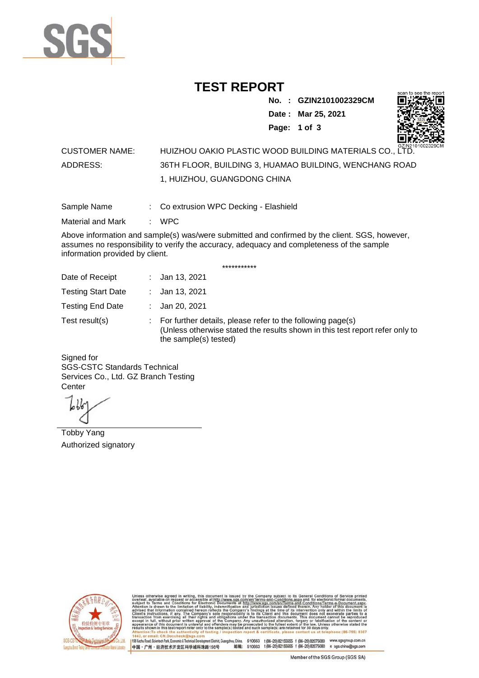

## **TEST REPORT**

**No. : GZIN2101002329CM**

**Date : Mar 25, 2021**



**Page: 1 of 3** 

## CUSTOMER NAME: HUIZHOU OAKIO PLASTIC WOOD BUILDING MATERIALS CO., LTD. ADDRESS: 36TH FLOOR, BUILDING 3, HUAMAO BUILDING, WENCHANG ROAD 1, HUIZHOU, GUANGDONG CHINA

Sample Name : Co extrusion WPC Decking - Elashield

Material and Mark : WPC

Above information and sample(s) was/were submitted and confirmed by the client. SGS, however, assumes no responsibility to verify the accuracy, adequacy and completeness of the sample information provided by client.

\*\*\*\*\*\*\*\*\*\*\*

| Date of Receipt           | : Jan 13, 2021                                                                                                                                                        |
|---------------------------|-----------------------------------------------------------------------------------------------------------------------------------------------------------------------|
| <b>Testing Start Date</b> | : Jan 13, 2021                                                                                                                                                        |
| <b>Testing End Date</b>   | : Jan 20, 2021                                                                                                                                                        |
| Test result(s)            | : For further details, please refer to the following page(s)<br>(Unless otherwise stated the results shown in this test report refer only to<br>the sample(s) tested) |

Signed for SGS-CSTC Standards Technical Services Co., Ltd. GZ Branch Testing **Center** 

Tobby Yang Authorized signatory



510663 t(86-20) 82155555 f (86-20) 82075080 www.sgsgroup.com.cn<br>510663 t(86-20) 82155555 f (86-20) 82075080 e sgs.china@sgs.com 198 Kezhu Road, Scientech Park, Eco nomic & Technical Devel tou, China. ant District G 邮编: 中国·广州·经济技术开发区科学城科珠路198号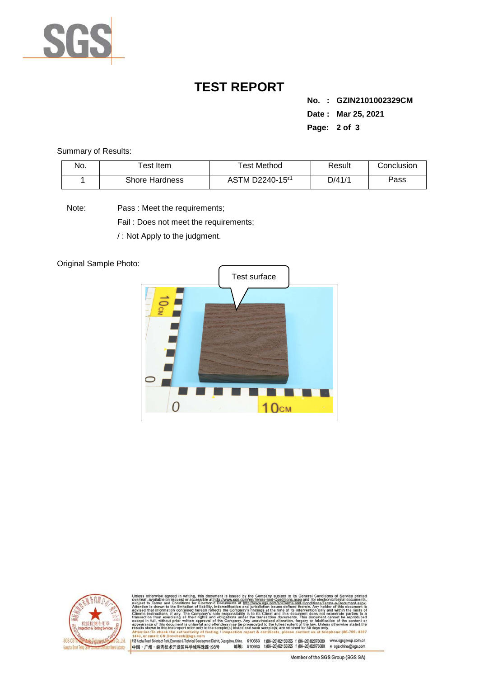

## **TEST REPORT**

**No. : GZIN2101002329CM Date : Mar 25, 2021 Page: 2 of 3** 

Summary of Results:

| No. | $\tau$ est Item       | Test Method                              | Result | Conclusion |
|-----|-----------------------|------------------------------------------|--------|------------|
|     | <b>Shore Hardness</b> | ASTM D2240-15 <sup><math>E1</math></sup> | D/41/1 | Pass       |

Note: Pass : Meet the requirements;

Fail : Does not meet the requirements;

/ : Not Apply to the judgment.

Original Sample Photo:





Conditions/Terms-e-Do<br>rein. Any holder of this nentDistrict,Guangzhou,China. 510663 t (86–20) 82155555 f (86–20) 82075080 www.sgsgroup.com.cn<br>格198号 邮编: 510663 t (86–20) 82155555 f (86–20) 82075080 e sgs.china@sgs.com 198 Kezhu Road, Scientech Park, Economic & Technical Develo 中国·广州·经济技术开发区科学城科珠路198号

Member of the SGS Group (SGS SA)